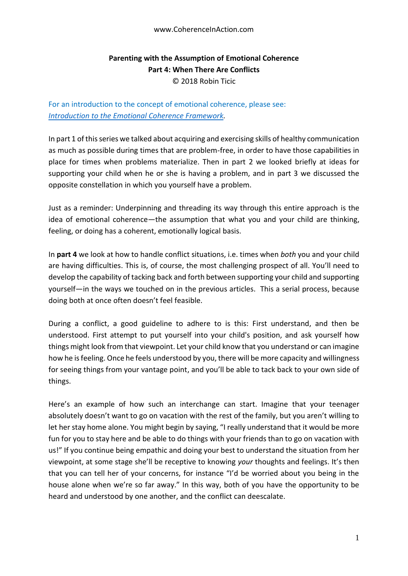## www.CoherenceInAction.com

## **Parenting with the Assumption of Emotional Coherence Part 4: When There Are Conflicts** © 2018 Robin Ticic

For an introduction to the concept of emotional coherence, please see: *[Introduction to the Emotional Coherence Framework.](https://docs.wixstatic.com/ugd/c5924b_b0a26bc557dd48ac9421975d9b8dce9a.pdf)*

In part 1 of this series we talked about acquiring and exercising skills of healthy communication as much as possible during times that are problem-free, in order to have those capabilities in place for times when problems materialize. Then in part 2 we looked briefly at ideas for supporting your child when he or she is having a problem, and in part 3 we discussed the opposite constellation in which you yourself have a problem.

Just as a reminder: Underpinning and threading its way through this entire approach is the idea of emotional coherence—the assumption that what you and your child are thinking, feeling, or doing has a coherent, emotionally logical basis.

In **part 4** we look at how to handle conflict situations, i.e. times when *both* you and your child are having difficulties. This is, of course, the most challenging prospect of all. You'll need to develop the capability of tacking back and forth between supporting your child and supporting yourself—in the ways we touched on in the previous articles. This a serial process, because doing both at once often doesn't feel feasible.

During a conflict, a good guideline to adhere to is this: First understand, and then be understood. First attempt to put yourself into your child's position, and ask yourself how things might look from that viewpoint. Let your child know that you understand or can imagine how he is feeling. Once he feels understood by you, there will be more capacity and willingness for seeing things from your vantage point, and you'll be able to tack back to your own side of things.

Here's an example of how such an interchange can start. Imagine that your teenager absolutely doesn't want to go on vacation with the rest of the family, but you aren't willing to let her stay home alone. You might begin by saying, "I really understand that it would be more fun for you to stay here and be able to do things with your friends than to go on vacation with us!" If you continue being empathic and doing your best to understand the situation from her viewpoint, at some stage she'll be receptive to knowing *your* thoughts and feelings. It's then that you can tell her of your concerns, for instance "I'd be worried about you being in the house alone when we're so far away." In this way, both of you have the opportunity to be heard and understood by one another, and the conflict can deescalate.